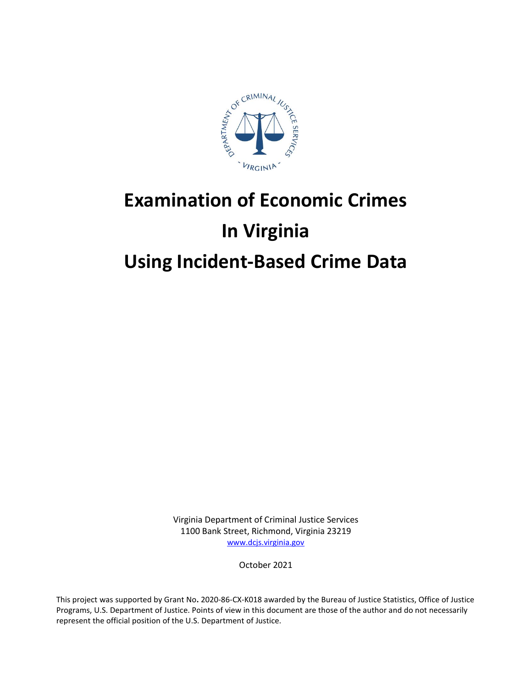

# **Examination of Economic Crimes In Virginia Using Incident-Based Crime Data**

Virginia Department of Criminal Justice Services 1100 Bank Street, Richmond, Virginia 23219 [www.dcjs.virginia.gov](https://www.dcjs.virginia.gov/)

October 2021

This project was supported by Grant No**.** 2020-86-CX-K018 awarded by the Bureau of Justice Statistics, Office of Justice Programs, U.S. Department of Justice. Points of view in this document are those of the author and do not necessarily represent the official position of the U.S. Department of Justice.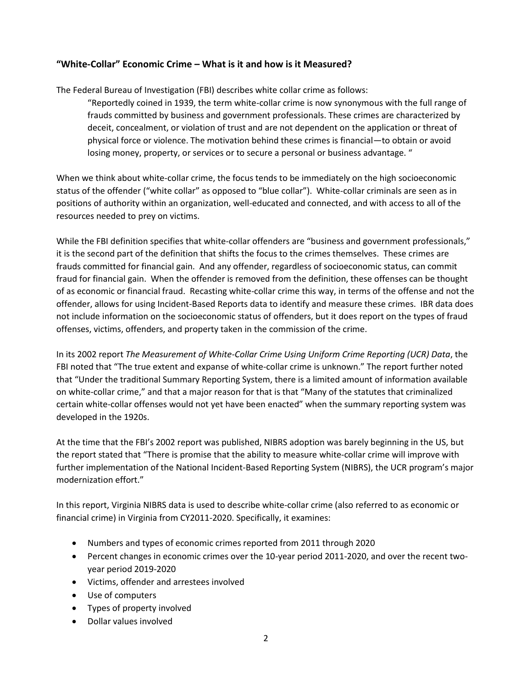## **"White-Collar" Economic Crime – What is it and how is it Measured?**

The Federal Bureau of Investigation (FBI) describes white collar crime as follows:

"Reportedly coined in 1939, the term white-collar crime is now synonymous with the full range of frauds committed by business and government professionals. These crimes are characterized by deceit, concealment, or violation of trust and are not dependent on the application or threat of physical force or violence. The motivation behind these crimes is financial—to obtain or avoid losing money, property, or services or to secure a personal or business advantage. "

When we think about white-collar crime, the focus tends to be immediately on the high socioeconomic status of the offender ("white collar" as opposed to "blue collar"). White-collar criminals are seen as in positions of authority within an organization, well-educated and connected, and with access to all of the resources needed to prey on victims.

While the FBI definition specifies that white-collar offenders are "business and government professionals," it is the second part of the definition that shifts the focus to the crimes themselves. These crimes are frauds committed for financial gain. And any offender, regardless of socioeconomic status, can commit fraud for financial gain. When the offender is removed from the definition, these offenses can be thought of as economic or financial fraud. Recasting white-collar crime this way, in terms of the offense and not the offender, allows for using Incident-Based Reports data to identify and measure these crimes. IBR data does not include information on the socioeconomic status of offenders, but it does report on the types of fraud offenses, victims, offenders, and property taken in the commission of the crime.

In its 2002 report *The Measurement of White-Collar Crime Using Uniform Crime Reporting (UCR) Data*, the FBI noted that "The true extent and expanse of white-collar crime is unknown." The report further noted that "Under the traditional Summary Reporting System, there is a limited amount of information available on white-collar crime," and that a major reason for that is that "Many of the statutes that criminalized certain white-collar offenses would not yet have been enacted" when the summary reporting system was developed in the 1920s.

At the time that the FBI's 2002 report was published, NIBRS adoption was barely beginning in the US, but the report stated that "There is promise that the ability to measure white-collar crime will improve with further implementation of the National Incident-Based Reporting System (NIBRS), the UCR program's major modernization effort."

In this report, Virginia NIBRS data is used to describe white-collar crime (also referred to as economic or financial crime) in Virginia from CY2011-2020. Specifically, it examines:

- Numbers and types of economic crimes reported from 2011 through 2020
- Percent changes in economic crimes over the 10-year period 2011-2020, and over the recent twoyear period 2019-2020
- Victims, offender and arrestees involved
- Use of computers
- Types of property involved
- Dollar values involved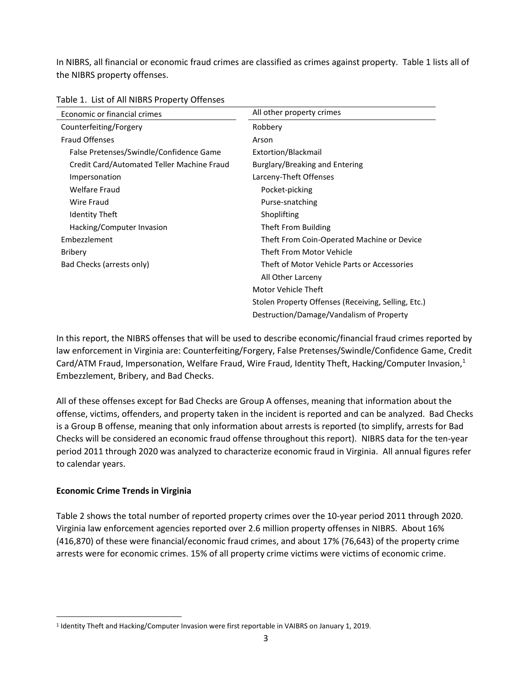In NIBRS, all financial or economic fraud crimes are classified as crimes against property. Table 1 lists all of the NIBRS property offenses.

| Economic or financial crimes               | All other property crimes                           |  |  |  |  |  |
|--------------------------------------------|-----------------------------------------------------|--|--|--|--|--|
| Counterfeiting/Forgery                     | Robbery                                             |  |  |  |  |  |
| <b>Fraud Offenses</b>                      | Arson                                               |  |  |  |  |  |
| False Pretenses/Swindle/Confidence Game    | Extortion/Blackmail                                 |  |  |  |  |  |
| Credit Card/Automated Teller Machine Fraud | Burglary/Breaking and Entering                      |  |  |  |  |  |
| Impersonation                              | Larceny-Theft Offenses                              |  |  |  |  |  |
| <b>Welfare Fraud</b>                       | Pocket-picking                                      |  |  |  |  |  |
| Wire Fraud                                 | Purse-snatching                                     |  |  |  |  |  |
| <b>Identity Theft</b>                      | Shoplifting                                         |  |  |  |  |  |
| Hacking/Computer Invasion                  | Theft From Building                                 |  |  |  |  |  |
| Embezzlement                               | Theft From Coin-Operated Machine or Device          |  |  |  |  |  |
| <b>Bribery</b>                             | Theft From Motor Vehicle                            |  |  |  |  |  |
| Bad Checks (arrests only)                  | Theft of Motor Vehicle Parts or Accessories         |  |  |  |  |  |
|                                            | All Other Larceny                                   |  |  |  |  |  |
|                                            | Motor Vehicle Theft                                 |  |  |  |  |  |
|                                            | Stolen Property Offenses (Receiving, Selling, Etc.) |  |  |  |  |  |
|                                            | Destruction/Damage/Vandalism of Property            |  |  |  |  |  |

| Table 1. List of All NIBRS Property Offenses |  |  |  |
|----------------------------------------------|--|--|--|
|----------------------------------------------|--|--|--|

In this report, the NIBRS offenses that will be used to describe economic/financial fraud crimes reported by law enforcement in Virginia are: Counterfeiting/Forgery, False Pretenses/Swindle/Confidence Game, Credit Card/ATM Fraud, Impersonation, Welfare Fraud, Wire Fraud, Identity Theft, Hacking/Computer Invasion, $<sup>1</sup>$ </sup> Embezzlement, Bribery, and Bad Checks.

All of these offenses except for Bad Checks are Group A offenses, meaning that information about the offense, victims, offenders, and property taken in the incident is reported and can be analyzed. Bad Checks is a Group B offense, meaning that only information about arrests is reported (to simplify, arrests for Bad Checks will be considered an economic fraud offense throughout this report). NIBRS data for the ten-year period 2011 through 2020 was analyzed to characterize economic fraud in Virginia. All annual figures refer to calendar years.

## **Economic Crime Trends in Virginia**

 $\overline{a}$ 

Table 2 shows the total number of reported property crimes over the 10-year period 2011 through 2020. Virginia law enforcement agencies reported over 2.6 million property offenses in NIBRS. About 16% (416,870) of these were financial/economic fraud crimes, and about 17% (76,643) of the property crime arrests were for economic crimes. 15% of all property crime victims were victims of economic crime.

<sup>&</sup>lt;sup>1</sup> Identity Theft and Hacking/Computer Invasion were first reportable in VAIBRS on January 1, 2019.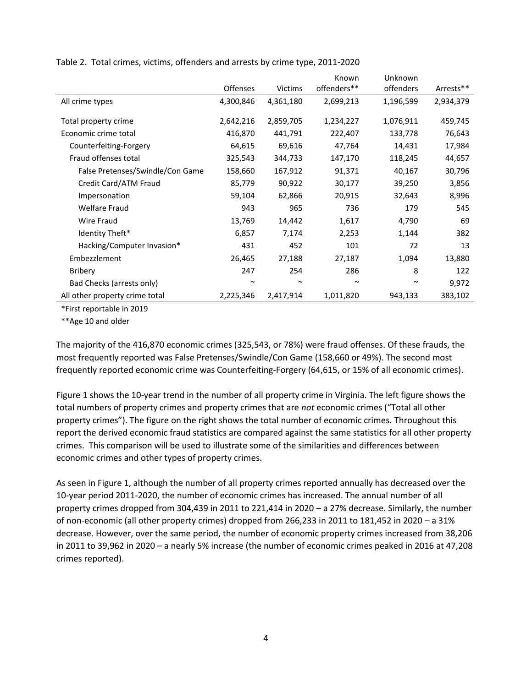|                                  |           |                | Known       | Unknown   |           |  |  |
|----------------------------------|-----------|----------------|-------------|-----------|-----------|--|--|
|                                  | Offenses  | <b>Victims</b> | offenders** | offenders | Arrests** |  |  |
| All crime types                  | 4,300,846 | 4,361,180      | 2,699,213   | 1,196,599 | 2,934,379 |  |  |
| Total property crime             | 2,642,216 | 2,859,705      | 1,234,227   | 1,076,911 | 459,745   |  |  |
| Economic crime total             | 416,870   | 441,791        | 222,407     | 133,778   | 76,643    |  |  |
| Counterfeiting-Forgery           | 64,615    | 69,616         | 47,764      | 14,431    | 17,984    |  |  |
| Fraud offenses total             | 325,543   | 344,733        | 147,170     | 118,245   | 44,657    |  |  |
| False Pretenses/Swindle/Con Game | 158,660   | 167,912        | 91,371      | 40,167    | 30,796    |  |  |
| Credit Card/ATM Fraud            | 85,779    | 90,922         | 30,177      | 39,250    | 3,856     |  |  |
| Impersonation                    | 59,104    | 62,866         | 20,915      | 32,643    | 8,996     |  |  |
| <b>Welfare Fraud</b>             | 943       | 965            | 736         | 179       | 545       |  |  |
| Wire Fraud                       | 13,769    | 14,442         | 1,617       | 4,790     | 69        |  |  |
| Identity Theft*                  | 6,857     | 7,174          | 2,253       | 1,144     | 382       |  |  |
| Hacking/Computer Invasion*       | 431       | 452            | 101         | 72        | 13        |  |  |
| Embezzlement                     | 26,465    | 27,188         | 27,187      | 1,094     | 13,880    |  |  |
| <b>Bribery</b>                   | 247       | 254            | 286         | 8         | 122       |  |  |
| Bad Checks (arrests only)        | $\sim$    | $\sim$         | $\sim$      | $\sim$    | 9,972     |  |  |
| All other property crime total   | 2,225,346 | 2,417,914      | 1,011,820   | 943,133   | 383,102   |  |  |

Table 2. Total crimes, victims, offenders and arrests by crime type, 2011-2020

\*First reportable in 2019

\*\*Age 10 and older

The majority of the 416,870 economic crimes (325,543, or 78%) were fraud offenses. Of these frauds, the most frequently reported was False Pretenses/Swindle/Con Game (158,660 or 49%). The second most frequently reported economic crime was Counterfeiting-Forgery (64,615, or 15% of all economic crimes).

Figure 1 shows the 10-year trend in the number of all property crime in Virginia. The left figure shows the total numbers of property crimes and property crimes that are *not* economic crimes ("Total all other property crimes"). The figure on the right shows the total number of economic crimes. Throughout this report the derived economic fraud statistics are compared against the same statistics for all other property crimes. This comparison will be used to illustrate some of the similarities and differences between economic crimes and other types of property crimes.

As seen in Figure 1, although the number of all property crimes reported annually has decreased over the 10-year period 2011-2020, the number of economic crimes has increased. The annual number of all property crimes dropped from 304,439 in 2011 to 221,414 in 2020 – a 27% decrease. Similarly, the number of non-economic (all other property crimes) dropped from 266,233 in 2011 to 181,452 in 2020 – a 31% decrease. However, over the same period, the number of economic property crimes increased from 38,206 in 2011 to 39,962 in 2020 – a nearly 5% increase (the number of economic crimes peaked in 2016 at 47,208 crimes reported).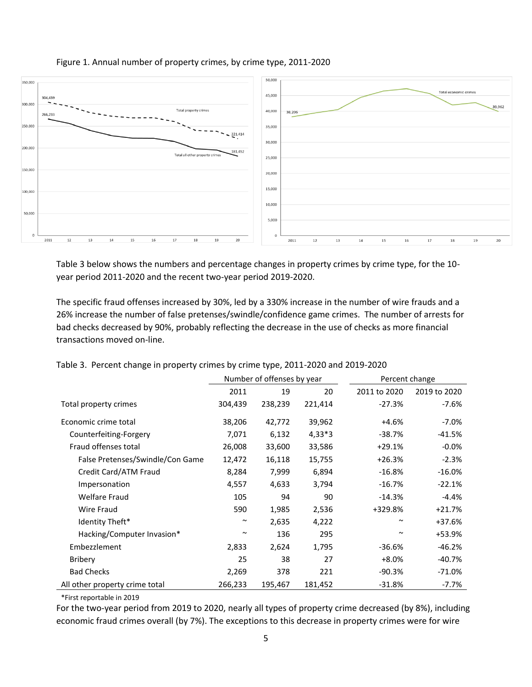

## Figure 1. Annual number of property crimes, by crime type, 2011-2020

Table 3 below shows the numbers and percentage changes in property crimes by crime type, for the 10 year period 2011-2020 and the recent two-year period 2019-2020.

The specific fraud offenses increased by 30%, led by a 330% increase in the number of wire frauds and a 26% increase the number of false pretenses/swindle/confidence game crimes. The number of arrests for bad checks decreased by 90%, probably reflecting the decrease in the use of checks as more financial transactions moved on-line.

|                                  |         | Number of offenses by year |          | Percent change        |              |  |  |
|----------------------------------|---------|----------------------------|----------|-----------------------|--------------|--|--|
|                                  | 2011    | 19                         | 20       | 2011 to 2020          | 2019 to 2020 |  |  |
| Total property crimes            | 304,439 | 238,239                    | 221,414  | $-27.3%$              | $-7.6%$      |  |  |
| Economic crime total             | 38,206  | 42,772                     | 39,962   | +4.6%                 | $-7.0%$      |  |  |
| Counterfeiting-Forgery           | 7,071   | 6,132                      | $4,33*3$ | $-38.7%$              | $-41.5%$     |  |  |
| Fraud offenses total             | 26,008  | 33,600                     | 33,586   | $+29.1%$              | $-0.0\%$     |  |  |
| False Pretenses/Swindle/Con Game | 12,472  | 16,118                     | 15,755   | $+26.3%$              | $-2.3%$      |  |  |
| Credit Card/ATM Fraud            | 8,284   | 7,999                      | 6,894    | $-16.8%$              | $-16.0\%$    |  |  |
| Impersonation                    | 4,557   | 4,633                      | 3,794    | $-16.7%$              | $-22.1%$     |  |  |
| <b>Welfare Fraud</b>             | 105     | 94                         | 90       | $-14.3%$              | $-4.4%$      |  |  |
| Wire Fraud                       | 590     | 1,985                      | 2,536    | +329.8%               | $+21.7%$     |  |  |
| Identity Theft*                  | $\sim$  | 2,635                      | 4,222    | $\tilde{\phantom{a}}$ | +37.6%       |  |  |
| Hacking/Computer Invasion*       | $\sim$  | 136                        | 295      | $\tilde{\phantom{a}}$ | +53.9%       |  |  |
| Embezzlement                     | 2,833   | 2,624                      | 1,795    | $-36.6%$              | $-46.2%$     |  |  |
| <b>Bribery</b>                   | 25      | 38                         | 27       | $+8.0%$               | $-40.7%$     |  |  |
| <b>Bad Checks</b>                | 2,269   | 378                        | 221      | $-90.3%$              | $-71.0%$     |  |  |
| All other property crime total   | 266,233 | 195,467                    | 181,452  | $-31.8%$              | $-7.7%$      |  |  |

Table 3. Percent change in property crimes by crime type, 2011-2020 and 2019-2020

\*First reportable in 2019

For the two-year period from 2019 to 2020, nearly all types of property crime decreased (by 8%), including economic fraud crimes overall (by 7%). The exceptions to this decrease in property crimes were for wire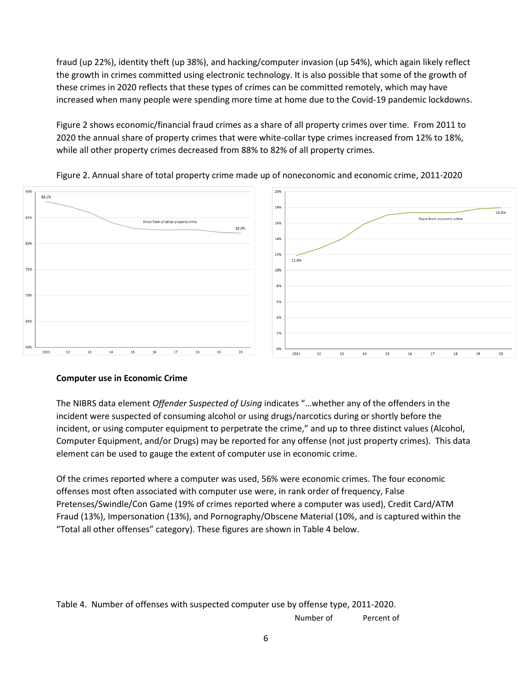fraud (up 22%), identity theft (up 38%), and hacking/computer invasion (up 54%), which again likely reflect the growth in crimes committed using electronic technology. It is also possible that some of the growth of these crimes in 2020 reflects that these types of crimes can be committed remotely, which may have increased when many people were spending more time at home due to the Covid-19 pandemic lockdowns.

Figure 2 shows economic/financial fraud crimes as a share of all property crimes over time. From 2011 to 2020 the annual share of property crimes that were white-collar type crimes increased from 12% to 18%, while all other property crimes decreased from 88% to 82% of all property crimes.





## **Computer use in Economic Crime**

The NIBRS data element *Offender Suspected of Using* indicates "…whether any of the offenders in the incident were suspected of consuming alcohol or using drugs/narcotics during or shortly before the incident, or using computer equipment to perpetrate the crime," and up to three distinct values (Alcohol, Computer Equipment, and/or Drugs) may be reported for any offense (not just property crimes). This data element can be used to gauge the extent of computer use in economic crime.

Of the crimes reported where a computer was used, 56% were economic crimes. The four economic offenses most often associated with computer use were, in rank order of frequency, False Pretenses/Swindle/Con Game (19% of crimes reported where a computer was used), Credit Card/ATM Fraud (13%), Impersonation (13%), and Pornography/Obscene Material (10%, and is captured within the "Total all other offenses" category). These figures are shown in Table 4 below.

Table 4. Number of offenses with suspected computer use by offense type, 2011-2020.

Number of Percent of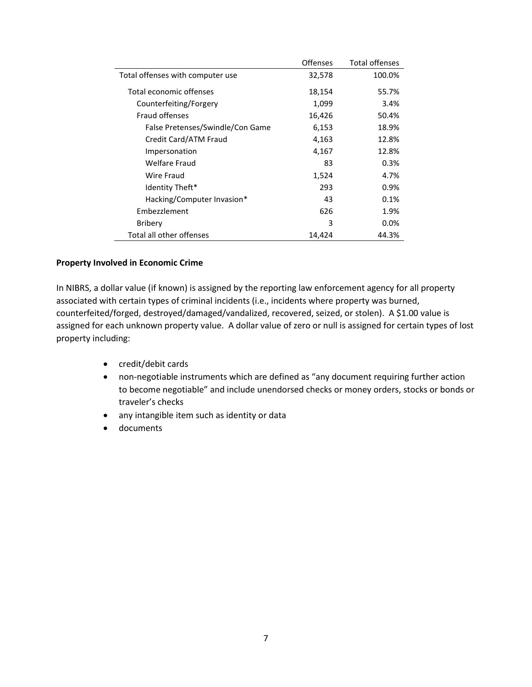|                                  | <b>Offenses</b> | <b>Total offenses</b> |
|----------------------------------|-----------------|-----------------------|
| Total offenses with computer use | 32,578          | 100.0%                |
| Total economic offenses          | 18,154          | 55.7%                 |
| Counterfeiting/Forgery           | 1,099           | 3.4%                  |
| <b>Fraud offenses</b>            | 16,426          | 50.4%                 |
| False Pretenses/Swindle/Con Game | 6,153           | 18.9%                 |
| Credit Card/ATM Fraud            | 4,163           | 12.8%                 |
| Impersonation                    | 4,167           | 12.8%                 |
| Welfare Fraud                    | 83              | 0.3%                  |
| Wire Fraud                       | 1,524           | 4.7%                  |
| Identity Theft*                  | 293             | 0.9%                  |
| Hacking/Computer Invasion*       | 43              | 0.1%                  |
| Embezzlement                     | 626             | 1.9%                  |
| Bribery                          | 3               | $0.0\%$               |
| Total all other offenses         | 14,424          | 44.3%                 |

#### **Property Involved in Economic Crime**

In NIBRS, a dollar value (if known) is assigned by the reporting law enforcement agency for all property associated with certain types of criminal incidents (i.e., incidents where property was burned, counterfeited/forged, destroyed/damaged/vandalized, recovered, seized, or stolen). A \$1.00 value is assigned for each unknown property value. A dollar value of zero or null is assigned for certain types of lost property including:

- credit/debit cards
- non-negotiable instruments which are defined as "any document requiring further action to become negotiable" and include unendorsed checks or money orders, stocks or bonds or traveler's checks
- any intangible item such as identity or data
- documents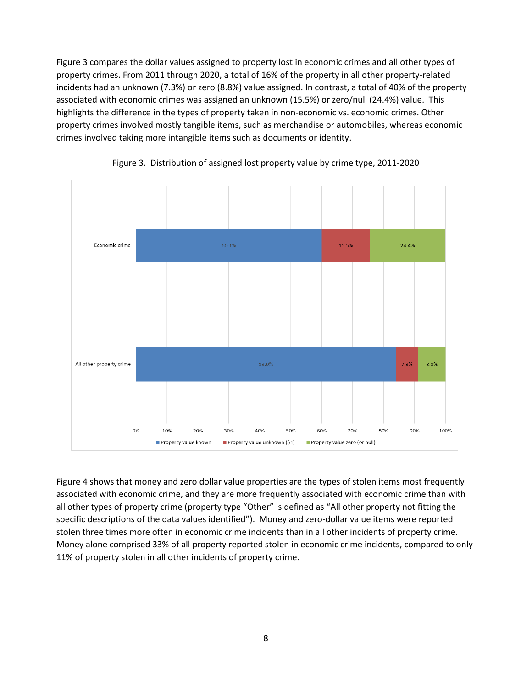Figure 3 compares the dollar values assigned to property lost in economic crimes and all other types of property crimes. From 2011 through 2020, a total of 16% of the property in all other property-related incidents had an unknown (7.3%) or zero (8.8%) value assigned. In contrast, a total of 40% of the property associated with economic crimes was assigned an unknown (15.5%) or zero/null (24.4%) value. This highlights the difference in the types of property taken in non-economic vs. economic crimes. Other property crimes involved mostly tangible items, such as merchandise or automobiles, whereas economic crimes involved taking more intangible items such as documents or identity.





Figure 4 shows that money and zero dollar value properties are the types of stolen items most frequently associated with economic crime, and they are more frequently associated with economic crime than with all other types of property crime (property type "Other" is defined as "All other property not fitting the specific descriptions of the data values identified"). Money and zero-dollar value items were reported stolen three times more often in economic crime incidents than in all other incidents of property crime. Money alone comprised 33% of all property reported stolen in economic crime incidents, compared to only 11% of property stolen in all other incidents of property crime.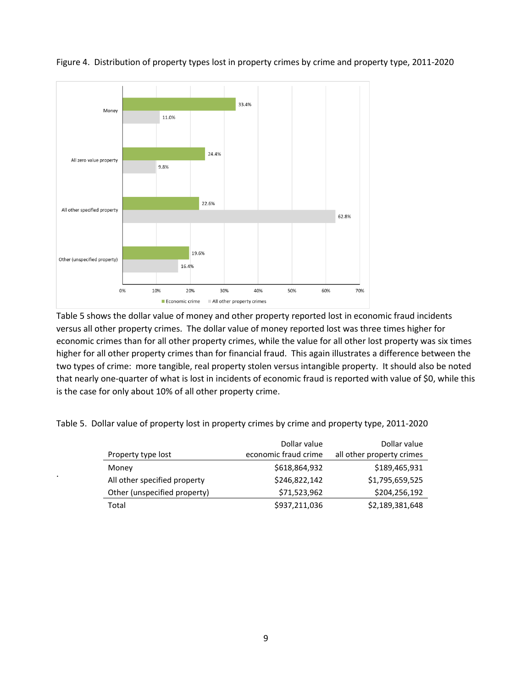

Figure 4. Distribution of property types lost in property crimes by crime and property type, 2011-2020

Table 5 shows the dollar value of money and other property reported lost in economic fraud incidents versus all other property crimes. The dollar value of money reported lost was three times higher for economic crimes than for all other property crimes, while the value for all other lost property was six times higher for all other property crimes than for financial fraud. This again illustrates a difference between the two types of crime: more tangible, real property stolen versus intangible property. It should also be noted that nearly one-quarter of what is lost in incidents of economic fraud is reported with value of \$0, while this is the case for only about 10% of all other property crime.

Table 5. Dollar value of property lost in property crimes by crime and property type, 2011-2020

.

|                              | Dollar value         | Dollar value              |
|------------------------------|----------------------|---------------------------|
| Property type lost           | economic fraud crime | all other property crimes |
| Money                        | \$618,864,932        | \$189,465,931             |
| All other specified property | \$246,822,142        | \$1,795,659,525           |
| Other (unspecified property) | \$71,523,962         | \$204,256,192             |
| Total                        | \$937,211,036        | \$2,189,381,648           |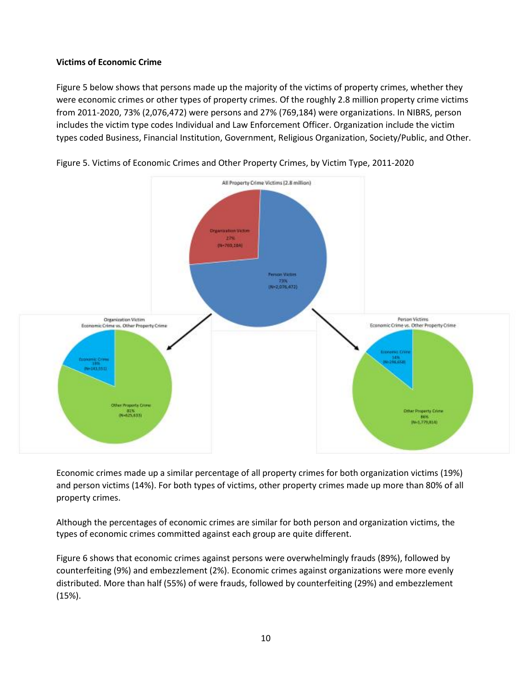## **Victims of Economic Crime**

Figure 5 below shows that persons made up the majority of the victims of property crimes, whether they were economic crimes or other types of property crimes. Of the roughly 2.8 million property crime victims from 2011-2020, 73% (2,076,472) were persons and 27% (769,184) were organizations. In NIBRS, person includes the victim type codes Individual and Law Enforcement Officer. Organization include the victim types coded Business, Financial Institution, Government, Religious Organization, Society/Public, and Other.



Figure 5. Victims of Economic Crimes and Other Property Crimes, by Victim Type, 2011-2020

Economic crimes made up a similar percentage of all property crimes for both organization victims (19%) and person victims (14%). For both types of victims, other property crimes made up more than 80% of all property crimes.

Although the percentages of economic crimes are similar for both person and organization victims, the types of economic crimes committed against each group are quite different.

Figure 6 shows that economic crimes against persons were overwhelmingly frauds (89%), followed by counterfeiting (9%) and embezzlement (2%). Economic crimes against organizations were more evenly distributed. More than half (55%) of were frauds, followed by counterfeiting (29%) and embezzlement (15%).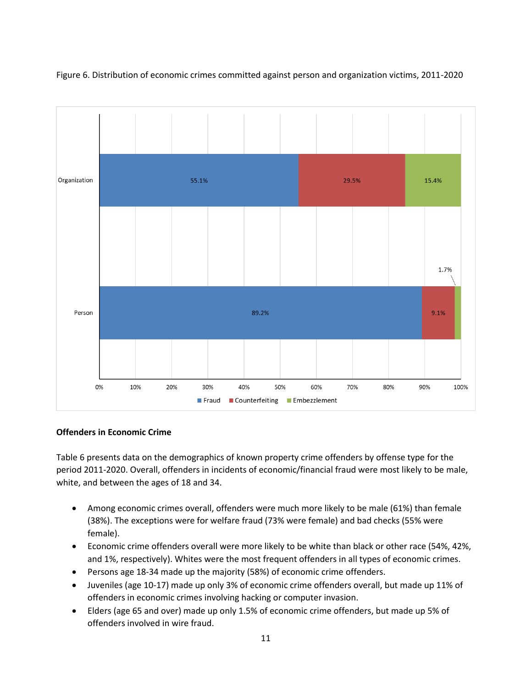



#### **Offenders in Economic Crime**

Table 6 presents data on the demographics of known property crime offenders by offense type for the period 2011-2020. Overall, offenders in incidents of economic/financial fraud were most likely to be male, white, and between the ages of 18 and 34.

- Among economic crimes overall, offenders were much more likely to be male (61%) than female (38%). The exceptions were for welfare fraud (73% were female) and bad checks (55% were female).
- Economic crime offenders overall were more likely to be white than black or other race (54%, 42%, and 1%, respectively). Whites were the most frequent offenders in all types of economic crimes.
- Persons age 18-34 made up the majority (58%) of economic crime offenders.
- Juveniles (age 10-17) made up only 3% of economic crime offenders overall, but made up 11% of offenders in economic crimes involving hacking or computer invasion.
- Elders (age 65 and over) made up only 1.5% of economic crime offenders, but made up 5% of offenders involved in wire fraud.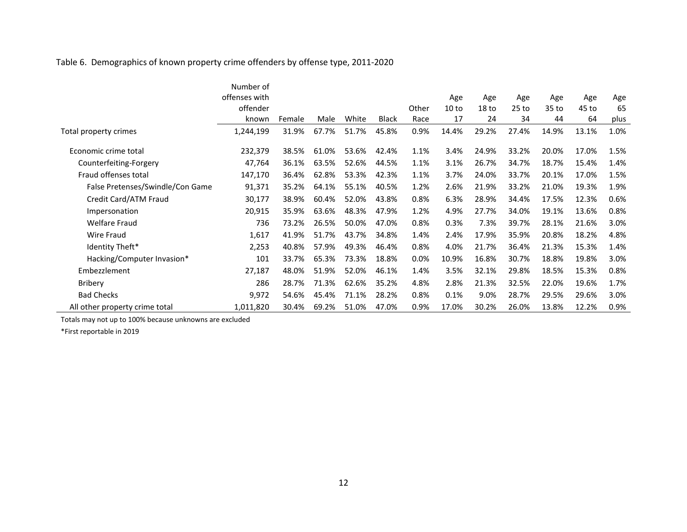# Table 6. Demographics of known property crime offenders by offense type, 2011-2020

|                                  | Number of     |        |       |       |              |       |                  |                  |         |       |       |      |
|----------------------------------|---------------|--------|-------|-------|--------------|-------|------------------|------------------|---------|-------|-------|------|
|                                  | offenses with |        |       |       |              |       | Age              | Age              | Age     | Age   | Age   | Age  |
|                                  | offender      |        |       |       |              | Other | 10 <sub>to</sub> | 18 <sub>to</sub> | $25$ to | 35 to | 45 to | 65   |
|                                  | known         | Female | Male  | White | <b>Black</b> | Race  | 17               | 24               | 34      | 44    | 64    | plus |
| Total property crimes            | 1,244,199     | 31.9%  | 67.7% | 51.7% | 45.8%        | 0.9%  | 14.4%            | 29.2%            | 27.4%   | 14.9% | 13.1% | 1.0% |
| Economic crime total             | 232,379       | 38.5%  | 61.0% | 53.6% | 42.4%        | 1.1%  | 3.4%             | 24.9%            | 33.2%   | 20.0% | 17.0% | 1.5% |
| Counterfeiting-Forgery           | 47,764        | 36.1%  | 63.5% | 52.6% | 44.5%        | 1.1%  | 3.1%             | 26.7%            | 34.7%   | 18.7% | 15.4% | 1.4% |
| Fraud offenses total             | 147,170       | 36.4%  | 62.8% | 53.3% | 42.3%        | 1.1%  | 3.7%             | 24.0%            | 33.7%   | 20.1% | 17.0% | 1.5% |
| False Pretenses/Swindle/Con Game | 91,371        | 35.2%  | 64.1% | 55.1% | 40.5%        | 1.2%  | 2.6%             | 21.9%            | 33.2%   | 21.0% | 19.3% | 1.9% |
| Credit Card/ATM Fraud            | 30,177        | 38.9%  | 60.4% | 52.0% | 43.8%        | 0.8%  | 6.3%             | 28.9%            | 34.4%   | 17.5% | 12.3% | 0.6% |
| Impersonation                    | 20,915        | 35.9%  | 63.6% | 48.3% | 47.9%        | 1.2%  | 4.9%             | 27.7%            | 34.0%   | 19.1% | 13.6% | 0.8% |
| <b>Welfare Fraud</b>             | 736           | 73.2%  | 26.5% | 50.0% | 47.0%        | 0.8%  | 0.3%             | 7.3%             | 39.7%   | 28.1% | 21.6% | 3.0% |
| <b>Wire Fraud</b>                | 1,617         | 41.9%  | 51.7% | 43.7% | 34.8%        | 1.4%  | 2.4%             | 17.9%            | 35.9%   | 20.8% | 18.2% | 4.8% |
| Identity Theft*                  | 2,253         | 40.8%  | 57.9% | 49.3% | 46.4%        | 0.8%  | 4.0%             | 21.7%            | 36.4%   | 21.3% | 15.3% | 1.4% |
| Hacking/Computer Invasion*       | 101           | 33.7%  | 65.3% | 73.3% | 18.8%        | 0.0%  | 10.9%            | 16.8%            | 30.7%   | 18.8% | 19.8% | 3.0% |
| Embezzlement                     | 27,187        | 48.0%  | 51.9% | 52.0% | 46.1%        | 1.4%  | 3.5%             | 32.1%            | 29.8%   | 18.5% | 15.3% | 0.8% |
| <b>Bribery</b>                   | 286           | 28.7%  | 71.3% | 62.6% | 35.2%        | 4.8%  | 2.8%             | 21.3%            | 32.5%   | 22.0% | 19.6% | 1.7% |
| <b>Bad Checks</b>                | 9,972         | 54.6%  | 45.4% | 71.1% | 28.2%        | 0.8%  | 0.1%             | 9.0%             | 28.7%   | 29.5% | 29.6% | 3.0% |
| All other property crime total   | 1,011,820     | 30.4%  | 69.2% | 51.0% | 47.0%        | 0.9%  | 17.0%            | 30.2%            | 26.0%   | 13.8% | 12.2% | 0.9% |

Totals may not up to 100% because unknowns are excluded

\*First reportable in 2019